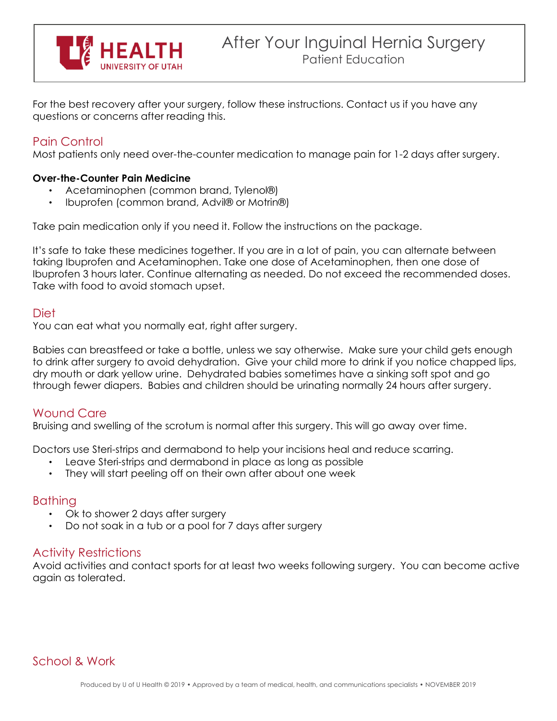

For the best recovery after your surgery, follow these instructions. Contact us if you have any questions or concerns after reading this.

# Pain Control

Most patients only need over-the-counter medication to manage pain for 1-2 days after surgery.

### **Over-the-Counter Pain Medicine**

- Acetaminophen (common brand, Tylenol®)
- Ibuprofen (common brand, Advil® or Motrin®)

Take pain medication only if you need it. Follow the instructions on the package.

It's safe to take these medicines together. If you are in a lot of pain, you can alternate between taking Ibuprofen and Acetaminophen. Take one dose of Acetaminophen, then one dose of Ibuprofen 3 hours later. Continue alternating as needed. Do not exceed the recommended doses. Take with food to avoid stomach upset.

### Diet

You can eat what you normally eat, right after surgery.

Babies can breastfeed or take a bottle, unless we say otherwise. Make sure your child gets enough to drink after surgery to avoid dehydration. Give your child more to drink if you notice chapped lips, dry mouth or dark yellow urine. Dehydrated babies sometimes have a sinking soft spot and go through fewer diapers. Babies and children should be urinating normally 24 hours after surgery.

# Wound Care

Bruising and swelling of the scrotum is normal after this surgery. This will go away over time.

Doctors use Steri-strips and dermabond to help your incisions heal and reduce scarring.

- Leave Steri-strips and dermabond in place as long as possible
- They will start peeling off on their own after about one week

## **Bathing**

- Ok to shower 2 days after surgery
- Do not soak in a tub or a pool for 7 days after surgery

# Activity Restrictions

Avoid activities and contact sports for at least two weeks following surgery. You can become active again as tolerated.

# School & Work